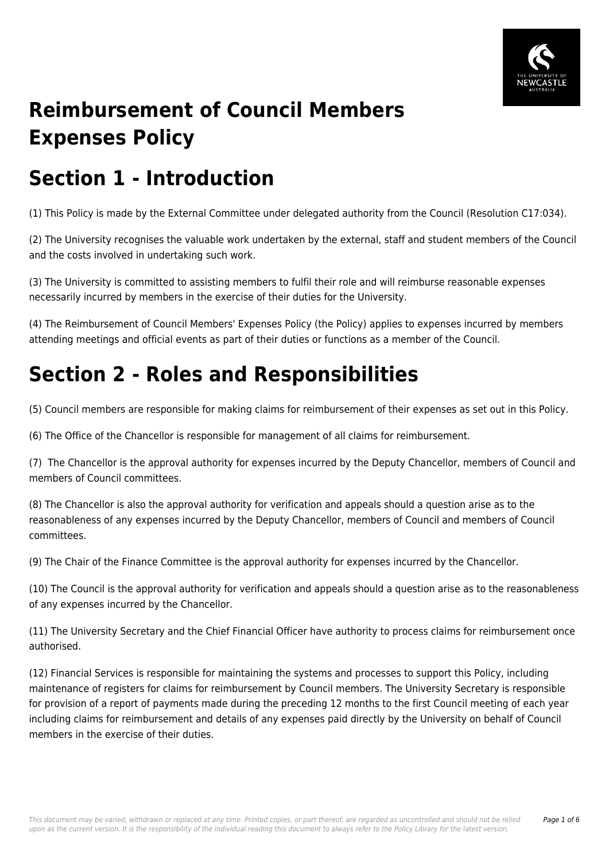

# **Reimbursement of Council Members Expenses Policy**

## **Section 1 - Introduction**

(1) This Policy is made by the External Committee under delegated authority from the Council (Resolution C17:034).

(2) The University recognises the valuable work undertaken by the external, staff and student members of the Council and the costs involved in undertaking such work.

(3) The University is committed to assisting members to fulfil their role and will reimburse reasonable expenses necessarily incurred by members in the exercise of their duties for the University.

(4) The Reimbursement of Council Members' Expenses Policy (the Policy) applies to expenses incurred by members attending meetings and official events as part of their duties or functions as a member of the Council.

# **Section 2 - Roles and Responsibilities**

(5) Council members are responsible for making claims for reimbursement of their expenses as set out in this Policy.

(6) The Office of the Chancellor is responsible for management of all claims for reimbursement.

(7) The Chancellor is the approval authority for expenses incurred by the Deputy Chancellor, members of Council and members of Council committees.

(8) The Chancellor is also the approval authority for verification and appeals should a question arise as to the reasonableness of any expenses incurred by the Deputy Chancellor, members of Council and members of Council committees.

(9) The Chair of the Finance Committee is the approval authority for expenses incurred by the Chancellor.

(10) The Council is the approval authority for verification and appeals should a question arise as to the reasonableness of any expenses incurred by the Chancellor.

(11) The University Secretary and the Chief Financial Officer have authority to process claims for reimbursement once authorised.

(12) Financial Services is responsible for maintaining the systems and processes to support this Policy, including maintenance of registers for claims for reimbursement by Council members. The University Secretary is responsible for provision of a report of payments made during the preceding 12 months to the first Council meeting of each year including claims for reimbursement and details of any expenses paid directly by the University on behalf of Council members in the exercise of their duties.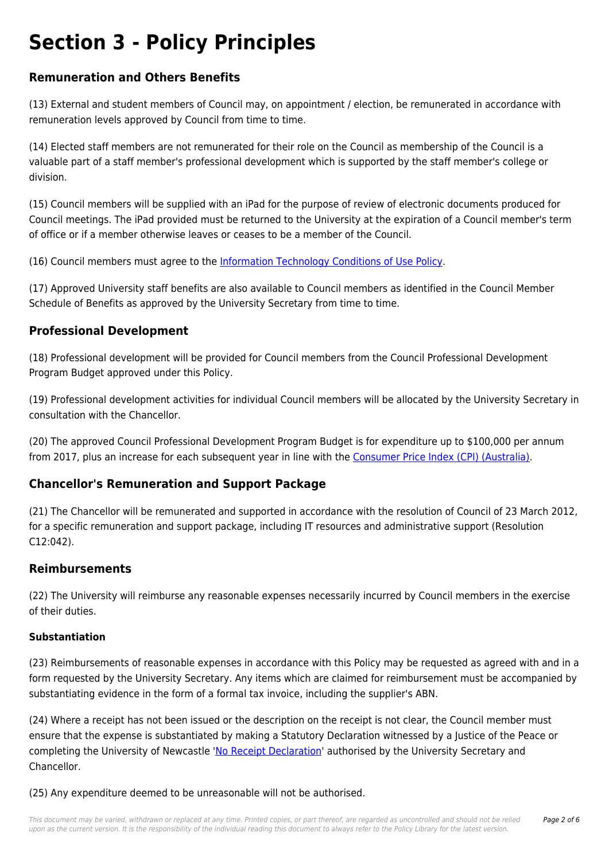## **Section 3 - Policy Principles**

## **Remuneration and Others Benefits**

(13) External and student members of Council may, on appointment / election, be remunerated in accordance with remuneration levels approved by Council from time to time.

(14) Elected staff members are not remunerated for their role on the Council as membership of the Council is a valuable part of a staff member's professional development which is supported by the staff member's college or division.

(15) Council members will be supplied with an iPad for the purpose of review of electronic documents produced for Council meetings. The iPad provided must be returned to the University at the expiration of a Council member's term of office or if a member otherwise leaves or ceases to be a member of the Council.

(16) Council members must agree to the [Information Technology Conditions of Use Policy.](https://policies.newcastle.edu.au/document/view-current.php?id=134)

(17) Approved University staff benefits are also available to Council members as identified in the Council Member Schedule of Benefits as approved by the University Secretary from time to time.

## **Professional Development**

(18) Professional development will be provided for Council members from the Council Professional Development Program Budget approved under this Policy.

(19) Professional development activities for individual Council members will be allocated by the University Secretary in consultation with the Chancellor.

(20) The approved Council Professional Development Program Budget is for expenditure up to \$100,000 per annum from 2017, plus an increase for each subsequent year in line with the [Consumer Price Index \(CPI\) \(Australia\).](https://policies.newcastle.edu.au/download.php?id=81&version=1&associated)

## **Chancellor's Remuneration and Support Package**

(21) The Chancellor will be remunerated and supported in accordance with the resolution of Council of 23 March 2012, for a specific remuneration and support package, including IT resources and administrative support (Resolution C12:042).

## **Reimbursements**

(22) The University will reimburse any reasonable expenses necessarily incurred by Council members in the exercise of their duties.

## **Substantiation**

(23) Reimbursements of reasonable expenses in accordance with this Policy may be requested as agreed with and in a form requested by the University Secretary. Any items which are claimed for reimbursement must be accompanied by substantiating evidence in the form of a formal tax invoice, including the supplier's ABN.

(24) Where a receipt has not been issued or the description on the receipt is not clear, the Council member must ensure that the expense is substantiated by making a Statutory Declaration witnessed by a Justice of the Peace or completing the University of Newcastle '[No Receipt Declaration](https://policies.newcastle.edu.au/download.php?id=701&version=1&associated)' authorised by the University Secretary and Chancellor.

(25) Any expenditure deemed to be unreasonable will not be authorised.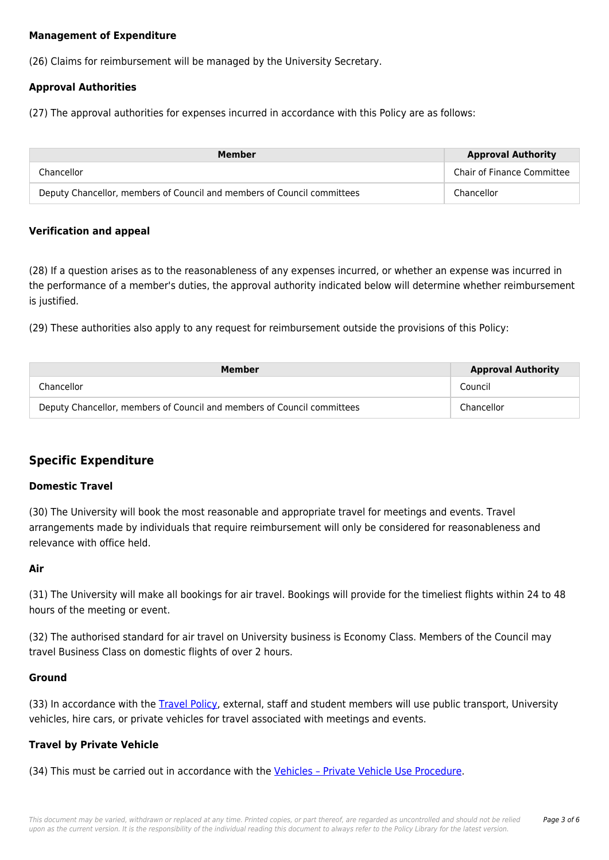#### **Management of Expenditure**

(26) Claims for reimbursement will be managed by the University Secretary.

#### **Approval Authorities**

(27) The approval authorities for expenses incurred in accordance with this Policy are as follows:

| Member                                                                  | <b>Approval Authority</b>         |
|-------------------------------------------------------------------------|-----------------------------------|
| Chancellor                                                              | <b>Chair of Finance Committee</b> |
| Deputy Chancellor, members of Council and members of Council committees | Chancellor                        |

#### **Verification and appeal**

(28) If a question arises as to the reasonableness of any expenses incurred, or whether an expense was incurred in the performance of a member's duties, the approval authority indicated below will determine whether reimbursement is justified.

(29) These authorities also apply to any request for reimbursement outside the provisions of this Policy:

| Member                                                                  | <b>Approval Authority</b> |
|-------------------------------------------------------------------------|---------------------------|
| Chancellor                                                              | Council                   |
| Deputy Chancellor, members of Council and members of Council committees | Chancellor                |

## **Specific Expenditure**

#### **Domestic Travel**

(30) The University will book the most reasonable and appropriate travel for meetings and events. Travel arrangements made by individuals that require reimbursement will only be considered for reasonableness and relevance with office held.

#### **Air**

(31) The University will make all bookings for air travel. Bookings will provide for the timeliest flights within 24 to 48 hours of the meeting or event.

(32) The authorised standard for air travel on University business is Economy Class. Members of the Council may travel Business Class on domestic flights of over 2 hours.

#### **Ground**

(33) In accordance with the [Travel Policy](https://policies.newcastle.edu.au/document/view-current.php?id=17), external, staff and student members will use public transport, University vehicles, hire cars, or private vehicles for travel associated with meetings and events.

#### **Travel by Private Vehicle**

(34) This must be carried out in accordance with the Vehicles - Private Vehicle Use Procedure.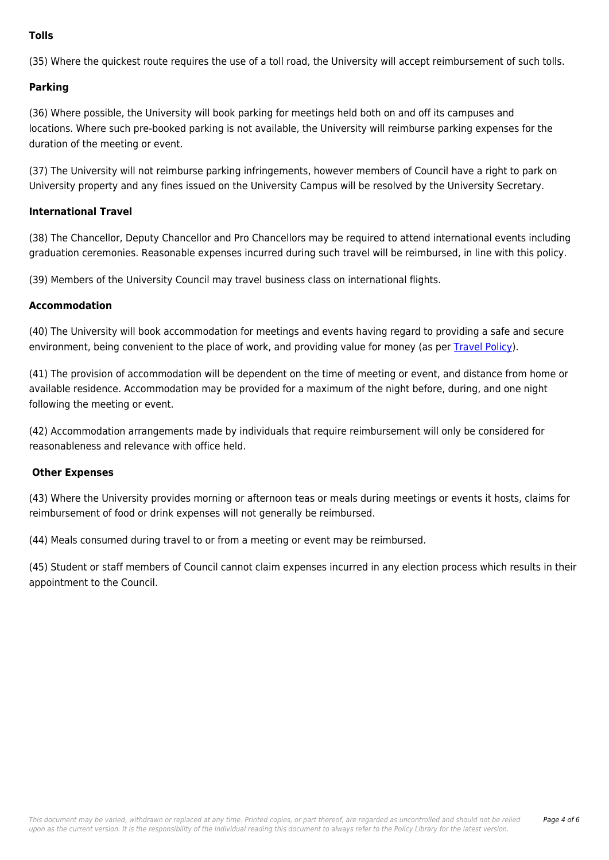#### **Tolls**

(35) Where the quickest route requires the use of a toll road, the University will accept reimbursement of such tolls.

#### **Parking**

(36) Where possible, the University will book parking for meetings held both on and off its campuses and locations. Where such pre-booked parking is not available, the University will reimburse parking expenses for the duration of the meeting or event.

(37) The University will not reimburse parking infringements, however members of Council have a right to park on University property and any fines issued on the University Campus will be resolved by the University Secretary.

#### **International Travel**

(38) The Chancellor, Deputy Chancellor and Pro Chancellors may be required to attend international events including graduation ceremonies. Reasonable expenses incurred during such travel will be reimbursed, in line with this policy.

(39) Members of the University Council may travel business class on international flights.

#### **Accommodation**

(40) The University will book accommodation for meetings and events having regard to providing a safe and secure environment, being convenient to the place of work, and providing value for money (as per [Travel Policy\)](https://policies.newcastle.edu.au/document/view-current.php?id=17).

(41) The provision of accommodation will be dependent on the time of meeting or event, and distance from home or available residence. Accommodation may be provided for a maximum of the night before, during, and one night following the meeting or event.

(42) Accommodation arrangements made by individuals that require reimbursement will only be considered for reasonableness and relevance with office held.

#### **Other Expenses**

(43) Where the University provides morning or afternoon teas or meals during meetings or events it hosts, claims for reimbursement of food or drink expenses will not generally be reimbursed.

(44) Meals consumed during travel to or from a meeting or event may be reimbursed.

(45) Student or staff members of Council cannot claim expenses incurred in any election process which results in their appointment to the Council.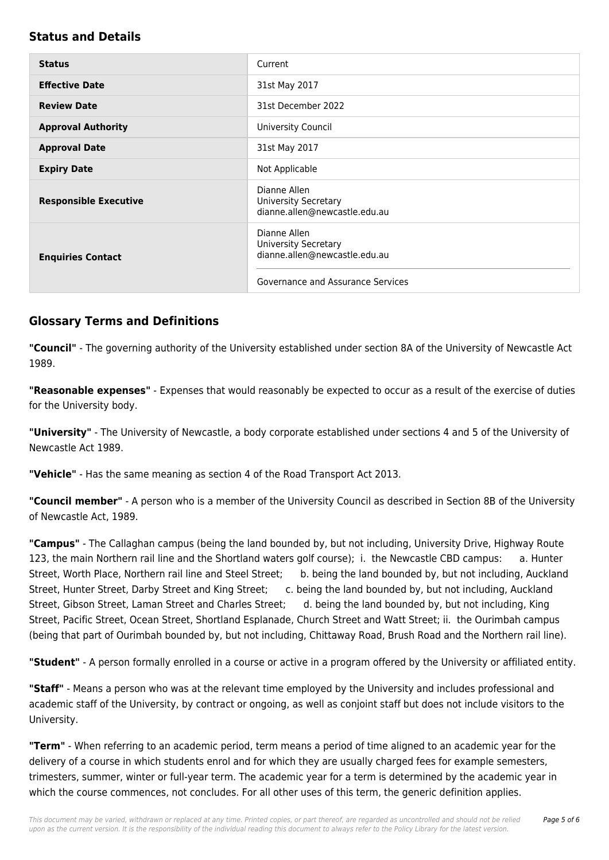## **Status and Details**

| <b>Status</b>                | Current                                                                                                           |
|------------------------------|-------------------------------------------------------------------------------------------------------------------|
| <b>Effective Date</b>        | 31st May 2017                                                                                                     |
| <b>Review Date</b>           | 31st December 2022                                                                                                |
| <b>Approval Authority</b>    | University Council                                                                                                |
| <b>Approval Date</b>         | 31st May 2017                                                                                                     |
| <b>Expiry Date</b>           | Not Applicable                                                                                                    |
| <b>Responsible Executive</b> | Dianne Allen<br><b>University Secretary</b><br>dianne.allen@newcastle.edu.au                                      |
| <b>Enquiries Contact</b>     | Dianne Allen<br><b>University Secretary</b><br>dianne.allen@newcastle.edu.au<br>Governance and Assurance Services |

## **Glossary Terms and Definitions**

**"Council"** - The governing authority of the University established under section 8A of the University of Newcastle Act 1989.

**"Reasonable expenses"** - Expenses that would reasonably be expected to occur as a result of the exercise of duties for the University body.

**"University"** - The University of Newcastle, a body corporate established under sections 4 and 5 of the University of Newcastle Act 1989.

**"Vehicle"** - Has the same meaning as section 4 of the Road Transport Act 2013.

**"Council member"** - A person who is a member of the University Council as described in Section 8B of the University of Newcastle Act, 1989.

**"Campus"** - The Callaghan campus (being the land bounded by, but not including, University Drive, Highway Route 123, the main Northern rail line and the Shortland waters golf course); i. the Newcastle CBD campus: a. Hunter Street, Worth Place, Northern rail line and Steel Street; b. being the land bounded by, but not including, Auckland Street, Hunter Street, Darby Street and King Street; c. being the land bounded by, but not including, Auckland Street, Gibson Street, Laman Street and Charles Street; d. being the land bounded by, but not including, King Street, Pacific Street, Ocean Street, Shortland Esplanade, Church Street and Watt Street; ii. the Ourimbah campus (being that part of Ourimbah bounded by, but not including, Chittaway Road, Brush Road and the Northern rail line).

**"Student"** - A person formally enrolled in a course or active in a program offered by the University or affiliated entity.

**"Staff"** - Means a person who was at the relevant time employed by the University and includes professional and academic staff of the University, by contract or ongoing, as well as conjoint staff but does not include visitors to the University.

**"Term"** - When referring to an academic period, term means a period of time aligned to an academic year for the delivery of a course in which students enrol and for which they are usually charged fees for example semesters, trimesters, summer, winter or full-year term. The academic year for a term is determined by the academic year in which the course commences, not concludes. For all other uses of this term, the generic definition applies.